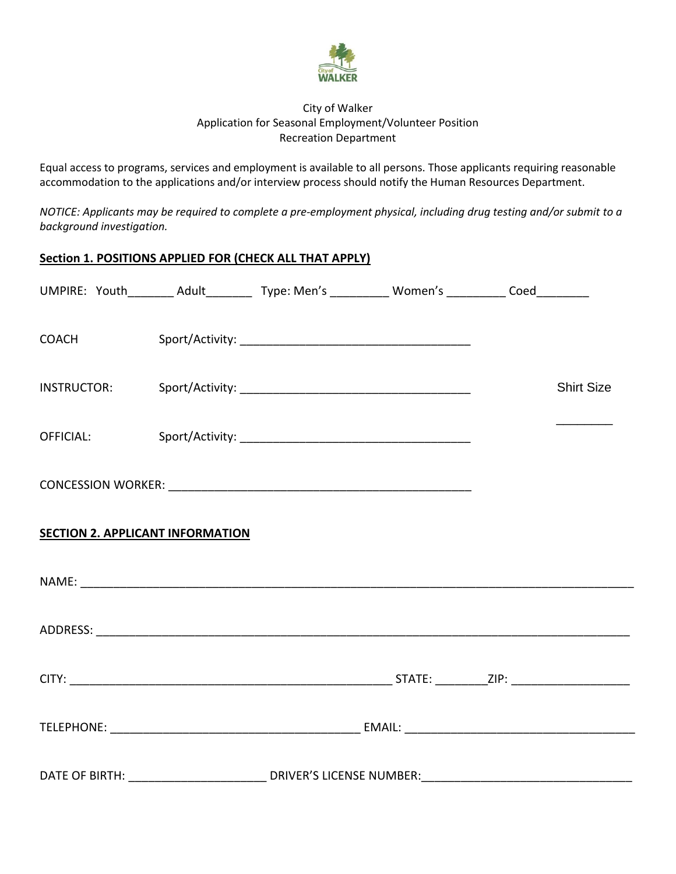

## City of Walker Application for Seasonal Employment/Volunteer Position Recreation Department

Equal access to programs, services and employment is available to all persons. Those applicants requiring reasonable accommodation to the applications and/or interview process should notify the Human Resources Department.

*NOTICE: Applicants may be required to complete a pre-employment physical, including drug testing and/or submit to a background investigation.*

## **Section 1. POSITIONS APPLIED FOR (CHECK ALL THAT APPLY)**

|                                         |  | UMPIRE: Youth________ Adult_________ Type: Men's __________ Women's _________ Coed_________ |  |  |                   |  |
|-----------------------------------------|--|---------------------------------------------------------------------------------------------|--|--|-------------------|--|
| <b>COACH</b>                            |  |                                                                                             |  |  |                   |  |
|                                         |  |                                                                                             |  |  | <b>Shirt Size</b> |  |
| OFFICIAL: <b>Security</b>               |  |                                                                                             |  |  |                   |  |
|                                         |  |                                                                                             |  |  |                   |  |
| <b>SECTION 2. APPLICANT INFORMATION</b> |  |                                                                                             |  |  |                   |  |
|                                         |  |                                                                                             |  |  |                   |  |
|                                         |  |                                                                                             |  |  |                   |  |
|                                         |  |                                                                                             |  |  |                   |  |
|                                         |  |                                                                                             |  |  |                   |  |
|                                         |  |                                                                                             |  |  |                   |  |